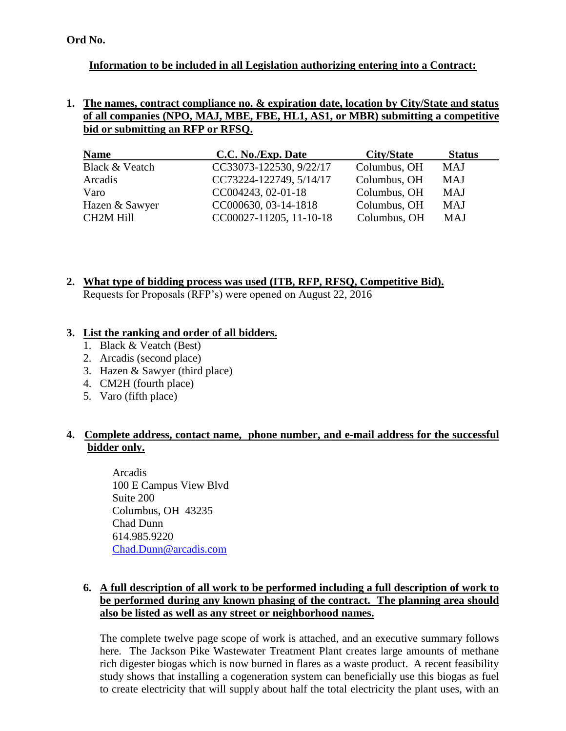**Ord No.**

# **Information to be included in all Legislation authorizing entering into a Contract:**

#### **1. The names, contract compliance no. & expiration date, location by City/State and status of all companies (NPO, MAJ, MBE, FBE, HL1, AS1, or MBR) submitting a competitive bid or submitting an RFP or RFSQ.**

| <b>Name</b>      | C.C. No./Exp. Date      | City/State   | <b>Status</b> |
|------------------|-------------------------|--------------|---------------|
| Black & Veatch   | CC33073-122530, 9/22/17 | Columbus, OH | MAJ           |
| Arcadis          | CC73224-122749, 5/14/17 | Columbus, OH | MAJ           |
| Varo             | CC004243, 02-01-18      | Columbus, OH | <b>MAJ</b>    |
| Hazen & Sawyer   | CC000630, 03-14-1818    | Columbus, OH | MAJ           |
| <b>CH2M Hill</b> | CC00027-11205, 11-10-18 | Columbus, OH | MAJ           |

**2. What type of bidding process was used (ITB, RFP, RFSQ, Competitive Bid).** Requests for Proposals (RFP's) were opened on August 22, 2016

#### **3. List the ranking and order of all bidders.**

- 1. Black & Veatch (Best)
- 2. Arcadis (second place)
- 3. Hazen & Sawyer (third place)
- 4. CM2H (fourth place)
- 5. Varo (fifth place)

# **4. Complete address, contact name, phone number, and e-mail address for the successful bidder only.**

Arcadis 100 E Campus View Blvd Suite 200 Columbus, OH 43235 Chad Dunn 614.985.9220 [Chad.Dunn@arcadis.com](mailto:Chad.Dunn@arcadis.com)

## **6. A full description of all work to be performed including a full description of work to be performed during any known phasing of the contract. The planning area should also be listed as well as any street or neighborhood names.**

The complete twelve page scope of work is attached, and an executive summary follows here. The Jackson Pike Wastewater Treatment Plant creates large amounts of methane rich digester biogas which is now burned in flares as a waste product. A recent feasibility study shows that installing a cogeneration system can beneficially use this biogas as fuel to create electricity that will supply about half the total electricity the plant uses, with an